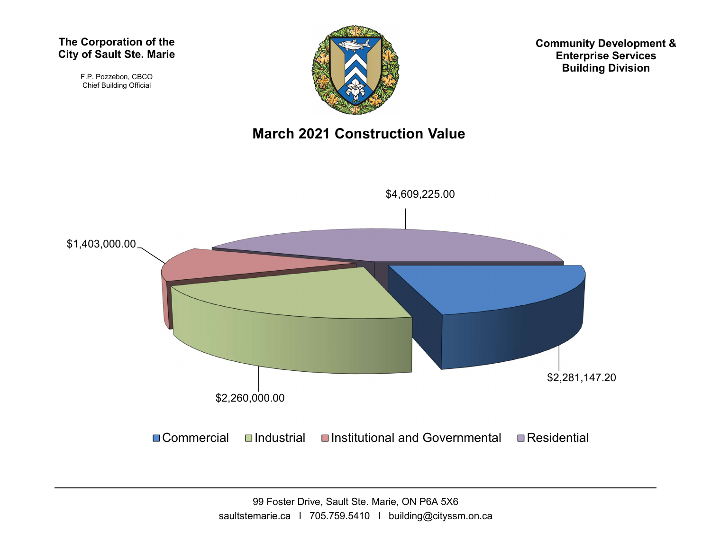#### The Corporation of the City of Sault Ste. Marie

F.P. Pozzebon, CBCO Chief Building Official



Community Development & Enterprise Services Building Division

#### March 2021 Construction Value



99 Foster Drive, Sault Ste. Marie, ON P6A 5X6 saultstemarie.ca | 705.759.5410 | building@cityssm.on.ca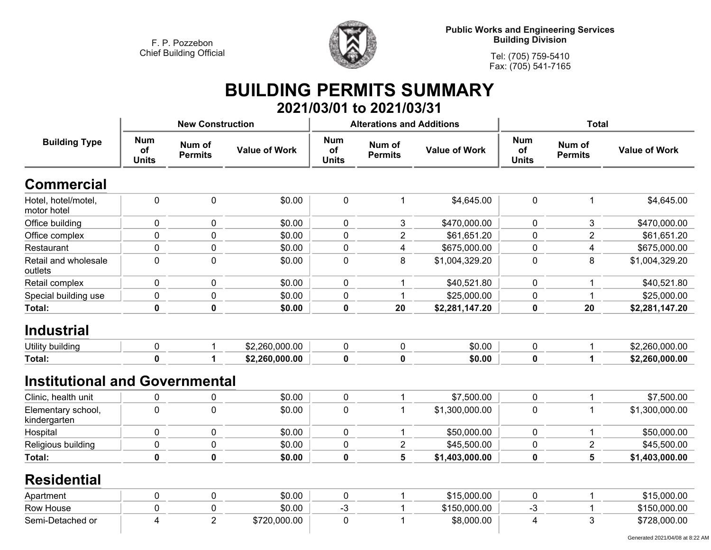

**Public Works and Engineering Services Building Division**

**Tel: (705) 759-5410 Fax: (705) 541-7165**

## **BUILDING PERMITS SUMMARY 2021/03/01 to 2021/03/31**

|                                       |                                  | <b>New Construction</b>  |                      |                                         | <b>Alterations and Additions</b> |                      | <b>Total</b>                     |                          |                      |
|---------------------------------------|----------------------------------|--------------------------|----------------------|-----------------------------------------|----------------------------------|----------------------|----------------------------------|--------------------------|----------------------|
| <b>Building Type</b>                  | <b>Num</b><br>of<br><b>Units</b> | Num of<br><b>Permits</b> | <b>Value of Work</b> | <b>Num</b><br><b>of</b><br><b>Units</b> | Num of<br><b>Permits</b>         | <b>Value of Work</b> | <b>Num</b><br>of<br><b>Units</b> | Num of<br><b>Permits</b> | <b>Value of Work</b> |
| <b>Commercial</b>                     |                                  |                          |                      |                                         |                                  |                      |                                  |                          |                      |
| Hotel, hotel/motel,<br>motor hotel    | $\mathbf 0$                      | $\pmb{0}$                | \$0.00               | 0                                       | $\mathbf{1}$                     | \$4,645.00           | $\pmb{0}$                        | $\mathbf{1}$             | \$4,645.00           |
| Office building                       | $\mathbf 0$                      | $\mathbf 0$              | \$0.00               | 0                                       | 3                                | \$470,000.00         | $\mathbf 0$                      | 3                        | \$470,000.00         |
| Office complex                        | 0                                | $\mathbf 0$              | \$0.00               | 0                                       | $\overline{2}$                   | \$61,651.20          | $\pmb{0}$                        | $\overline{2}$           | \$61,651.20          |
| Restaurant                            | 0                                | $\mathbf 0$              | \$0.00               | 0                                       | 4                                | \$675,000.00         | $\mathbf 0$                      | $\overline{\mathbf{4}}$  | \$675,000.00         |
| Retail and wholesale<br>outlets       | 0                                | $\pmb{0}$                | \$0.00               | 0                                       | 8                                | \$1,004,329.20       | $\pmb{0}$                        | 8                        | \$1,004,329.20       |
| Retail complex                        | 0                                | $\pmb{0}$                | \$0.00               | 0                                       | 1                                | \$40,521.80          | $\pmb{0}$                        | 1                        | \$40,521.80          |
| Special building use                  | $\mathbf 0$                      | $\mathbf 0$              | \$0.00               | 0                                       | $\mathbf 1$                      | \$25,000.00          | $\pmb{0}$                        | $\mathbf{1}$             | \$25,000.00          |
| <b>Total:</b>                         | $\mathbf 0$                      | $\mathbf 0$              | \$0.00               | $\mathbf 0$                             | 20                               | \$2,281,147.20       | $\mathbf 0$                      | 20                       | \$2,281,147.20       |
| <b>Industrial</b>                     |                                  |                          |                      |                                         |                                  |                      |                                  |                          |                      |
| Utility building                      | 0                                | $\mathbf 1$              | \$2,260,000.00       | 0                                       | 0                                | \$0.00               | $\pmb{0}$                        | 1                        | \$2,260,000.00       |
| Total:                                | $\mathbf 0$                      | 1                        | \$2,260,000.00       | $\pmb{0}$                               | $\mathbf 0$                      | \$0.00               | $\pmb{0}$                        | $\mathbf 1$              | \$2,260,000.00       |
| <b>Institutional and Governmental</b> |                                  |                          |                      |                                         |                                  |                      |                                  |                          |                      |
| Clinic, health unit                   | 0                                | 0                        | \$0.00               | 0                                       | $\mathbf 1$                      | \$7,500.00           | $\pmb{0}$                        | 1                        | \$7,500.00           |
| Elementary school,<br>kindergarten    | $\mathbf 0$                      | $\mathbf 0$              | \$0.00               | $\overline{0}$                          | $\mathbf 1$                      | \$1,300,000.00       | $\pmb{0}$                        | $\mathbf{1}$             | \$1,300,000.00       |
| Hospital                              | 0                                | $\mathbf 0$              | \$0.00               | 0                                       | $\mathbf 1$                      | \$50,000.00          | $\pmb{0}$                        | 1                        | \$50,000.00          |
| Religious building                    | $\mathbf 0$                      | $\pmb{0}$                | \$0.00               | 0                                       | $\overline{\mathbf{c}}$          | \$45,500.00          | 0                                | $\overline{2}$           | \$45,500.00          |
| Total:                                | $\mathbf 0$                      | $\mathbf 0$              | \$0.00               | $\mathbf 0$                             | 5                                | \$1,403,000.00       | $\mathbf 0$                      | 5                        | \$1,403,000.00       |
| <b>Residential</b>                    |                                  |                          |                      |                                         |                                  |                      |                                  |                          |                      |
| Apartment                             | $\mathbf 0$                      | $\pmb{0}$                | \$0.00               | $\pmb{0}$                               | $\mathbf 1$                      | \$15,000.00          | $\pmb{0}$                        | 1                        | \$15,000.00          |
| Row House                             | 0                                | $\pmb{0}$                | \$0.00               | $-3$                                    | $\mathbf 1$                      | \$150,000.00         | -3                               | 1                        | \$150,000.00         |
| Semi-Detached or                      | 4                                | $\overline{2}$           | \$720,000.00         | $\mathbf 0$                             | $\mathbf 1$                      | \$8,000.00           | $\overline{4}$                   | 3                        | \$728,000.00         |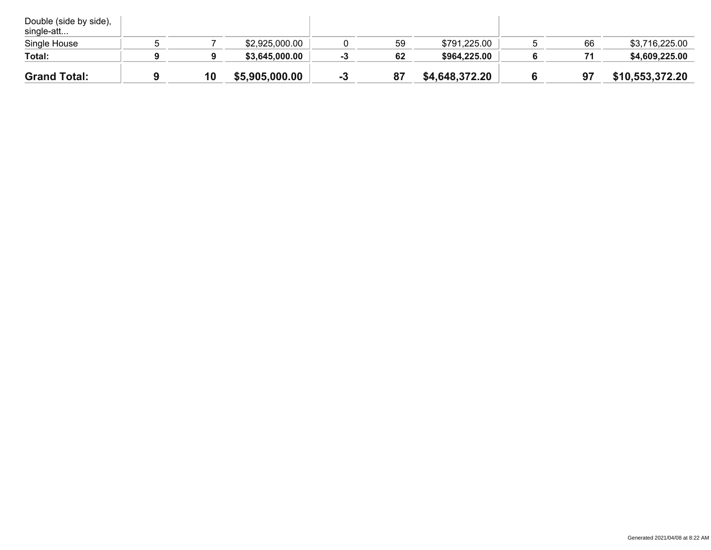| Double (side by side),<br>single-att |    |                |    |    |                |    |                 |
|--------------------------------------|----|----------------|----|----|----------------|----|-----------------|
| Single House                         |    | \$2,925,000.00 |    | 59 | \$791,225.00   | 66 | \$3,716,225.00  |
| Total:                               |    | \$3,645,000.00 |    | 62 | \$964,225.00   |    | \$4,609,225.00  |
| <b>Grand Total:</b>                  | 10 | \$5,905,000.00 | -3 | 87 | \$4,648,372.20 | 97 | \$10,553,372.20 |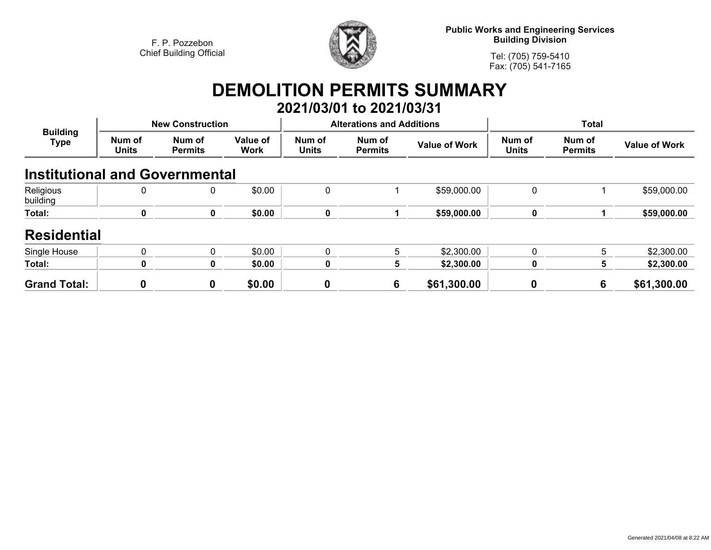

**Public Works and Engineering Services Building Division**

**Tel: (705) 759-5410Fax: (705) 541-7165**

## **DEMOLITION PERMITS SUMMARY 2021/03/01 to 2021/03/31**

| <b>Building</b><br><b>Type</b>        |                        | <b>New Construction</b>  |                         |                        | <b>Alterations and Additions</b> |                      | <b>Total</b>           |                          |                      |
|---------------------------------------|------------------------|--------------------------|-------------------------|------------------------|----------------------------------|----------------------|------------------------|--------------------------|----------------------|
|                                       | Num of<br><b>Units</b> | Num of<br><b>Permits</b> | Value of<br><b>Work</b> | Num of<br><b>Units</b> | Num of<br><b>Permits</b>         | <b>Value of Work</b> | Num of<br><b>Units</b> | Num of<br><b>Permits</b> | <b>Value of Work</b> |
| <b>Institutional and Governmental</b> |                        |                          |                         |                        |                                  |                      |                        |                          |                      |
| Religious<br>building                 | 0                      | 0                        | \$0.00                  | 0                      |                                  | \$59,000.00          | 0                      |                          | \$59,000.00          |
| Total:                                | 0                      | 0                        | \$0.00                  | $\mathbf 0$            |                                  | \$59,000.00          | 0                      |                          | \$59,000.00          |
| <b>Residential</b>                    |                        |                          |                         |                        |                                  |                      |                        |                          |                      |
| Single House                          | $\mathbf{0}$           | $\mathbf{0}$             | \$0.00                  | $\mathbf{0}$           | 5                                | \$2,300.00           | $\mathbf{0}$           | 5                        | \$2,300.00           |
| Total:                                | ŋ                      | 0                        | \$0.00                  | 0                      | 5                                | \$2,300.00           | 0                      | 5                        | \$2,300.00           |
| <b>Grand Total:</b>                   | 0                      | 0                        | \$0.00                  | $\bf{0}$               | 6                                | \$61,300.00          | 0                      | 6                        | \$61,300.00          |